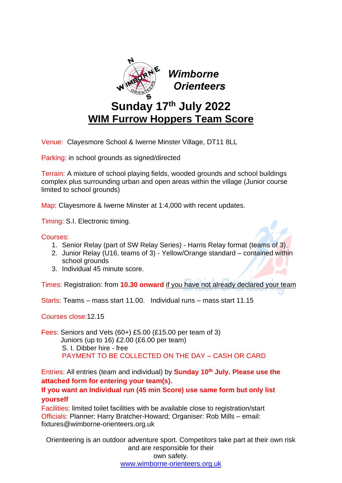

Venue: Clayesmore School & Iwerne Minster Village, DT11 8LL

Parking: in school grounds as signed/directed

Terrain: A mixture of school playing fields, wooded grounds and school buildings complex plus surrounding urban and open areas within the village (Junior course limited to school grounds)

Map: Clayesmore & Iwerne Minster at 1:4,000 with recent updates.

Timing: S.I. Electronic timing.

Courses:

- 1. Senior Relay (part of SW Relay Series) Harris Relay format (teams of 3).
- 2. Junior Relay (U16, teams of 3) Yellow/Orange standard contained within school grounds
- 3. Individual 45 minute score.

Times: Registration: from **10.30 onward** if you have not already declared your team

Starts: Teams – mass start 11.00. Individual runs – mass start 11.15

Courses close:12.15

Fees: Seniors and Vets (60+) £5.00 (£15.00 per team of 3) Juniors (up to 16) £2.00 (£6.00 per team) S. I*.* Dibber hire - free PAYMENT TO BE COLLECTED ON THE DAY – CASH OR CARD

Entries: All entries (team and individual) by **Sunday 10th July. Please use the attached form for entering your team(s).**

# **If you want an Individual run (45 min Score) use same form but only list yourself**

Facilities: limited toilet facilities with be available close to registration/start Officials: Planner: Harry Bratcher-Howard; Organiser: Rob Mills – email: fixtures@wimborne-orienteers.org.uk

Orienteering is an outdoor adventure sport. Competitors take part at their own risk and are responsible for their own safety. [www.wimborne-orienteers.org.uk](http://www.wimborne-orienteers.org.uk/)